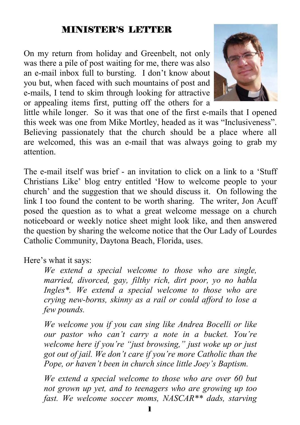## MINISTER'S LETTER

On my return from holiday and Greenbelt, not only was there a pile of post waiting for me, there was also an e-mail inbox full to bursting. I don't know about you but, when faced with such mountains of post and e-mails, I tend to skim through looking for attractive or appealing items first, putting off the others for a



little while longer. So it was that one of the first e-mails that I opened this week was one from Mike Mortley, headed as it was "Inclusiveness". Believing passionately that the church should be a place where all are welcomed, this was an e-mail that was always going to grab my attention.

The e-mail itself was brief - an invitation to click on a link to a 'Stuff Christians Like' blog entry entitled 'How to welcome people to your church' and the suggestion that we should discuss it. On following the link I too found the content to be worth sharing. The writer, Jon Acuff posed the question as to what a great welcome message on a church noticeboard or weekly notice sheet might look like, and then answered the question by sharing the welcome notice that the Our Lady of Lourdes Catholic Community, Daytona Beach, Florida, uses.

Here's what it says:

*We extend a special welcome to those who are single, married, divorced, gay, filthy rich, dirt poor, yo no habla Ingles\*. We extend a special welcome to those who are crying new-borns, skinny as a rail or could afford to lose a few pounds.* 

*We welcome you if you can sing like Andrea Bocelli or like our pastor who can't carry a note in a bucket. You're welcome here if you're "just browsing," just woke up or just got out of jail. We don't care if you're more Catholic than the Pope, or haven't been in church since little Joey's Baptism.* 

*We extend a special welcome to those who are over 60 but not grown up yet, and to teenagers who are growing up too fast. We welcome soccer moms, NASCAR\*\* dads, starving*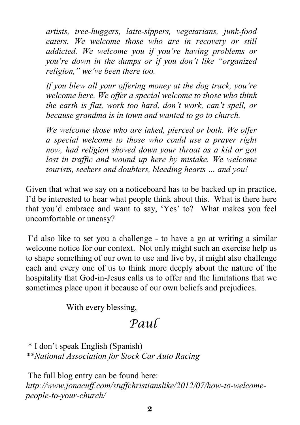*artists, tree-huggers, latte-sippers, vegetarians, junk-food eaters. We welcome those who are in recovery or still addicted. We welcome you if you're having problems or you're down in the dumps or if you don't like "organized religion," we've been there too.* 

*If you blew all your offering money at the dog track, you're welcome here. We offer a special welcome to those who think the earth is flat, work too hard, don't work, can't spell, or because grandma is in town and wanted to go to church.* 

*We welcome those who are inked, pierced or both. We offer a special welcome to those who could use a prayer right now, had religion shoved down your throat as a kid or got*  lost in traffic and wound up here by mistake. We welcome *tourists, seekers and doubters, bleeding hearts … and you!* 

Given that what we say on a noticeboard has to be backed up in practice, I'd be interested to hear what people think about this. What is there here that you'd embrace and want to say, 'Yes' to? What makes you feel uncomfortable or uneasy?

 I'd also like to set you a challenge - to have a go at writing a similar welcome notice for our context. Not only might such an exercise help us to shape something of our own to use and live by, it might also challenge each and every one of us to think more deeply about the nature of the hospitality that God-in-Jesus calls us to offer and the limitations that we sometimes place upon it because of our own beliefs and prejudices.

With every blessing,

## *Paul*

 \* I don't speak English (Spanish) *\*\*National Association for Stock Car Auto Racing* 

 The full blog entry can be found here: *http://www.jonacuff.com/stuffchristianslike/2012/07/how-to-welcomepeople-to-your-church/*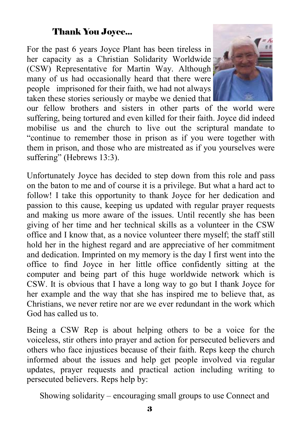## Thank You Joyce...

For the past 6 years Joyce Plant has been tireless in her capacity as a Christian Solidarity Worldwide (CSW) Representative for Martin Way. Although many of us had occasionally heard that there were people imprisoned for their faith, we had not always taken these stories seriously or maybe we denied that



our fellow brothers and sisters in other parts of the world were suffering, being tortured and even killed for their faith. Joyce did indeed mobilise us and the church to live out the scriptural mandate to "continue to remember those in prison as if you were together with them in prison, and those who are mistreated as if you yourselves were suffering" (Hebrews 13:3).

Unfortunately Joyce has decided to step down from this role and pass on the baton to me and of course it is a privilege. But what a hard act to follow! I take this opportunity to thank Joyce for her dedication and passion to this cause, keeping us updated with regular prayer requests and making us more aware of the issues. Until recently she has been giving of her time and her technical skills as a volunteer in the CSW office and I know that, as a novice volunteer there myself; the staff still hold her in the highest regard and are appreciative of her commitment and dedication. Imprinted on my memory is the day I first went into the office to find Joyce in her little office confidently sitting at the computer and being part of this huge worldwide network which is CSW. It is obvious that I have a long way to go but I thank Joyce for her example and the way that she has inspired me to believe that, as Christians, we never retire nor are we ever redundant in the work which God has called us to.

Being a CSW Rep is about helping others to be a voice for the voiceless, stir others into prayer and action for persecuted believers and others who face injustices because of their faith. Reps keep the church informed about the issues and help get people involved via regular updates, prayer requests and practical action including writing to persecuted believers. Reps help by:

Showing solidarity – encouraging small groups to use Connect and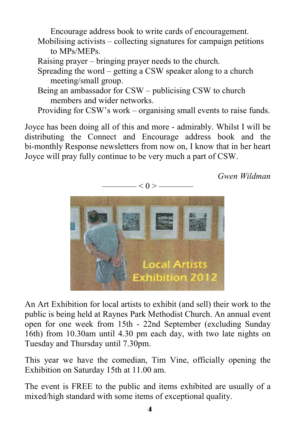Encourage address book to write cards of encouragement.

- Mobilising activists collecting signatures for campaign petitions to MPs/MEPs.
- Raising prayer bringing prayer needs to the church.
- Spreading the word getting a CSW speaker along to a church meeting/small group.
- Being an ambassador for CSW publicising CSW to church members and wider networks.

Providing for CSW's work – organising small events to raise funds.

Joyce has been doing all of this and more - admirably. Whilst I will be distributing the Connect and Encourage address book and the bi-monthly Response newsletters from now on, I know that in her heart Joyce will pray fully continue to be very much a part of CSW.

*Gwen Wildman* 



An Art Exhibition for local artists to exhibit (and sell) their work to the public is being held at Raynes Park Methodist Church. An annual event open for one week from 15th - 22nd September (excluding Sunday 16th) from 10.30am until 4.30 pm each day, with two late nights on Tuesday and Thursday until 7.30pm.

This year we have the comedian, Tim Vine, officially opening the Exhibition on Saturday 15th at 11.00 am.

The event is FREE to the public and items exhibited are usually of a mixed/high standard with some items of exceptional quality.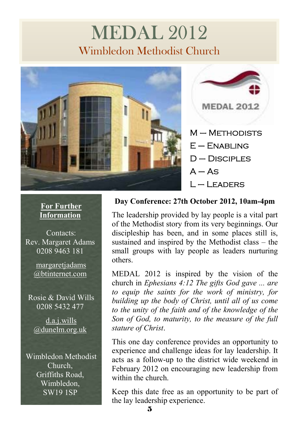# MEDAL 2012 Wimbledon Methodist Church





## **For Further Information**

Contacts: Rev. Margaret Adams 0208 9463 181

> margaretjadams @btinternet.com

 Rosie & David Wills 0208 5432 477

 d.a.j.wills @dunelm.org.uk

 Wimbledon Methodist Church, Griffiths Road, Wimbledon, SW19 1SP

## **Day Conference: 27th October 2012, 10am-4pm**

The leadership provided by lay people is a vital part of the Methodist story from its very beginnings. Our discipleship has been, and in some places still is, sustained and inspired by the Methodist class – the small groups with lay people as leaders nurturing others.

MEDAL 2012 is inspired by the vision of the church in *Ephesians 4:12 The gifts God gave ... are to equip the saints for the work of ministry, for building up the body of Christ, until all of us come to the unity of the faith and of the knowledge of the Son of God, to maturity, to the measure of the full stature of Christ*.

This one day conference provides an opportunity to experience and challenge ideas for lay leadership. It acts as a follow-up to the district wide weekend in February 2012 on encouraging new leadership from within the church.

Keep this date free as an opportunity to be part of the lay leadership experience.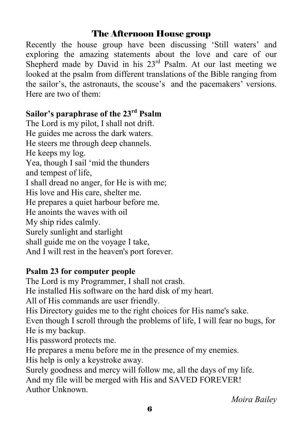## The Afternoon House group

Recently the house group have been discussing 'Still waters' and exploring the amazing statements about the love and care of our Shepherd made by David in his  $23<sup>rd</sup>$  Psalm. At our last meeting we looked at the psalm from different translations of the Bible ranging from the sailor's, the astronauts, the scouse's and the pacemakers' versions. Here are two of them:

## **Sailor's paraphrase of the 23rd Psalm**

The Lord is my pilot, I shall not drift. He guides me across the dark waters. He steers me through deep channels. He keeps my log. Yea, though I sail 'mid the thunders and tempest of life, I shall dread no anger, for He is with me; His love and His care, shelter me. He prepares a quiet harbour before me. He anoints the waves with oil My ship rides calmly. Surely sunlight and starlight shall guide me on the voyage I take, And I will rest in the heaven's port forever.

## **Psalm 23 for computer people**

The Lord is my Programmer, I shall not crash.

He installed His software on the hard disk of my heart.

All of His commands are user friendly.

His Directory guides me to the right choices for His name's sake.

Even though I scroll through the problems of life, I will fear no bugs, for He is my backup.

His password protects me.

He prepares a menu before me in the presence of my enemies.

His help is only a keystroke away.

Surely goodness and mercy will follow me, all the days of my life. And my file will be merged with His and SAVED FOREVER! Author Unknown.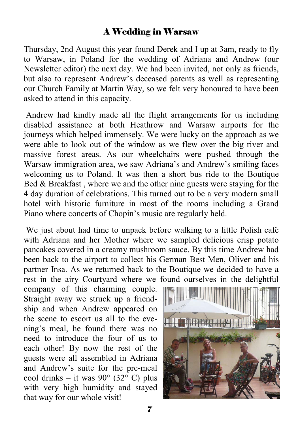## A Wedding in Warsaw

Thursday, 2nd August this year found Derek and I up at 3am, ready to fly to Warsaw, in Poland for the wedding of Adriana and Andrew (our Newsletter editor) the next day. We had been invited, not only as friends, but also to represent Andrew's deceased parents as well as representing our Church Family at Martin Way, so we felt very honoured to have been asked to attend in this capacity.

 Andrew had kindly made all the flight arrangements for us including disabled assistance at both Heathrow and Warsaw airports for the journeys which helped immensely. We were lucky on the approach as we were able to look out of the window as we flew over the big river and massive forest areas. As our wheelchairs were pushed through the Warsaw immigration area, we saw Adriana's and Andrew's smiling faces welcoming us to Poland. It was then a short bus ride to the Boutique Bed  $&$  Breakfast, where we and the other nine guests were staying for the 4 day duration of celebrations. This turned out to be a very modern small hotel with historic furniture in most of the rooms including a Grand Piano where concerts of Chopin's music are regularly held.

 We just about had time to unpack before walking to a little Polish café with Adriana and her Mother where we sampled delicious crisp potato pancakes covered in a creamy mushroom sauce. By this time Andrew had been back to the airport to collect his German Best Men, Oliver and his partner Insa. As we returned back to the Boutique we decided to have a rest in the airy Courtyard where we found ourselves in the delightful

company of this charming couple. Straight away we struck up a friendship and when Andrew appeared on the scene to escort us all to the evening's meal, he found there was no need to introduce the four of us to each other! By now the rest of the guests were all assembled in Adriana and Andrew's suite for the pre-meal cool drinks – it was  $90^{\circ}$  (32 $^{\circ}$  C) plus with very high humidity and stayed that way for our whole visit!

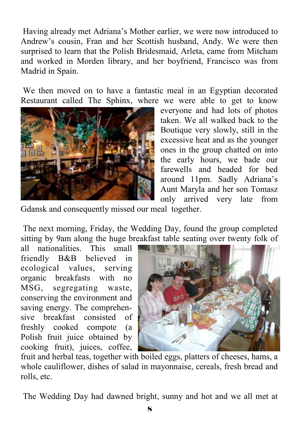Having already met Adriana's Mother earlier, we were now introduced to Andrew's cousin, Fran and her Scottish husband, Andy. We were then surprised to learn that the Polish Bridesmaid, Arleta, came from Mitcham and worked in Morden library, and her boyfriend, Francisco was from Madrid in Spain.

 We then moved on to have a fantastic meal in an Egyptian decorated Restaurant called The Sphinx, where we were able to get to know



everyone and had lots of photos taken. We all walked back to the Boutique very slowly, still in the excessive heat and as the younger ones in the group chatted on into the early hours, we bade our farewells and headed for bed around 11pm. Sadly Adriana's Aunt Maryla and her son Tomasz only arrived very late from

Gdansk and consequently missed our meal together.

 The next morning, Friday, the Wedding Day, found the group completed sitting by 9am along the huge breakfast table seating over twenty folk of

all nationalities. This small friendly B&B believed in ecological values, serving organic breakfasts with no MSG, segregating waste, conserving the environment and saving energy. The comprehensive breakfast consisted of freshly cooked compote (a Polish fruit juice obtained by cooking fruit), juices, coffee,



fruit and herbal teas, together with boiled eggs, platters of cheeses, hams, a whole cauliflower, dishes of salad in mayonnaise, cereals, fresh bread and rolls, etc.

The Wedding Day had dawned bright, sunny and hot and we all met at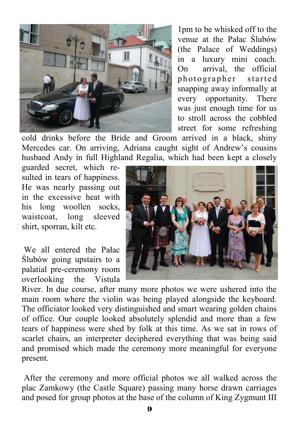

1pm to be whisked off to the venue at the Pałac Ślubów (the Palace of Weddings) in a luxury mini coach. On arrival, the official photographer started snapping away informally at every opportunity. There was just enough time for us to stroll across the cobbled street for some refreshing

cold drinks before the Bride and Groom arrived in a black, shiny Mercedes car. On arriving, Adriana caught sight of Andrew's cousins husband Andy in full Highland Regalia, which had been kept a closely

guarded secret, which resulted in tears of happiness. He was nearly passing out in the excessive heat with his long woollen socks, waistcoat, long sleeved shirt, sporran, kilt etc.

 We all entered the Pałac Ślubów going upstairs to a palatial pre-ceremony room overlooking the Vistula



River. In due course, after many more photos we were ushered into the main room where the violin was being played alongside the keyboard. The officiator looked very distinguished and smart wearing golden chains of office. Our couple looked absolutely splendid and more than a few tears of happiness were shed by folk at this time. As we sat in rows of scarlet chairs, an interpreter deciphered everything that was being said and promised which made the ceremony more meaningful for everyone present.

 After the ceremony and more official photos we all walked across the plac Zamkowy (the Castle Square) passing many horse drawn carriages and posed for group photos at the base of the column of King Zygmunt III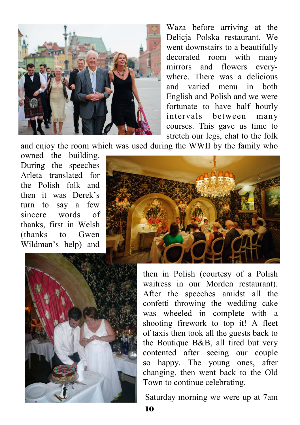

Waza before arriving at the Delicja Polska restaurant. We went downstairs to a beautifully decorated room with many mirrors and flowers everywhere. There was a delicious and varied menu in both English and Polish and we were fortunate to have half hourly intervals between many courses. This gave us time to stretch our legs, chat to the folk

and enjoy the room which was used during the WWII by the family who

owned the building. During the speeches Arleta translated for the Polish folk and then it was Derek's turn to say a few sincere words of thanks, first in Welsh (thanks to Gwen Wildman's help) and





then in Polish (courtesy of a Polish waitress in our Morden restaurant). After the speeches amidst all the confetti throwing the wedding cake was wheeled in complete with a shooting firework to top it! A fleet of taxis then took all the guests back to the Boutique B&B, all tired but very contented after seeing our couple so happy. The young ones, after changing, then went back to the Old Town to continue celebrating.

Saturday morning we were up at 7am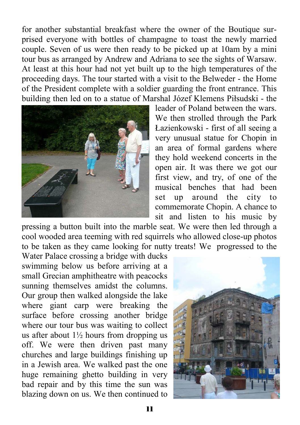for another substantial breakfast where the owner of the Boutique surprised everyone with bottles of champagne to toast the newly married couple. Seven of us were then ready to be picked up at 10am by a mini tour bus as arranged by Andrew and Adriana to see the sights of Warsaw. At least at this hour had not yet built up to the high temperatures of the proceeding days. The tour started with a visit to the Belweder - the Home of the President complete with a soldier guarding the front entrance. This building then led on to a statue of Marshal Józef Klemens Piłsudski - the



leader of Poland between the wars. We then strolled through the Park Łazienkowski - first of all seeing a very unusual statue for Chopin in an area of formal gardens where they hold weekend concerts in the open air. It was there we got our first view, and try, of one of the musical benches that had been set up around the city to commemorate Chopin. A chance to sit and listen to his music by

pressing a button built into the marble seat. We were then led through a cool wooded area teeming with red squirrels who allowed close-up photos to be taken as they came looking for nutty treats! We progressed to the

Water Palace crossing a bridge with ducks swimming below us before arriving at a small Grecian amphitheatre with peacocks sunning themselves amidst the columns. Our group then walked alongside the lake where giant carp were breaking the surface before crossing another bridge where our tour bus was waiting to collect us after about  $1\frac{1}{2}$  hours from dropping us off. We were then driven past many churches and large buildings finishing up in a Jewish area. We walked past the one huge remaining ghetto building in very bad repair and by this time the sun was blazing down on us. We then continued to

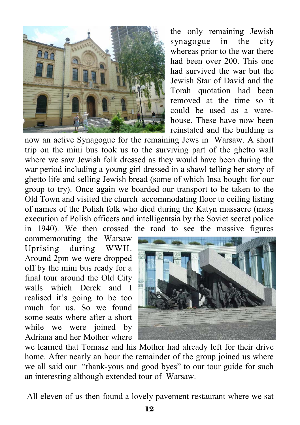

the only remaining Jewish synagogue in the city whereas prior to the war there had been over 200. This one had survived the war but the Jewish Star of David and the Torah quotation had been removed at the time so it could be used as a warehouse. These have now been reinstated and the building is

now an active Synagogue for the remaining Jews in Warsaw. A short trip on the mini bus took us to the surviving part of the ghetto wall where we saw Jewish folk dressed as they would have been during the war period including a young girl dressed in a shawl telling her story of ghetto life and selling Jewish bread (some of which Insa bought for our group to try). Once again we boarded our transport to be taken to the Old Town and visited the church accommodating floor to ceiling listing of names of the Polish folk who died during the Katyn massacre (mass execution of Polish officers and intelligentsia by the Soviet secret police in 1940). We then crossed the road to see the massive figures

commemorating the Warsaw Uprising during WWII. Around 2pm we were dropped off by the mini bus ready for a final tour around the Old City walls which Derek and I realised it's going to be too much for us. So we found some seats where after a short while we were joined by Adriana and her Mother where



we learned that Tomasz and his Mother had already left for their drive home. After nearly an hour the remainder of the group joined us where we all said our "thank-yous and good byes" to our tour guide for such an interesting although extended tour of Warsaw.

All eleven of us then found a lovely pavement restaurant where we sat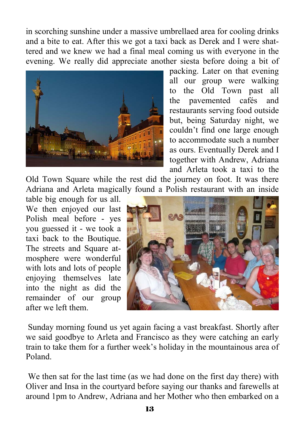in scorching sunshine under a massive umbrellaed area for cooling drinks and a bite to eat. After this we got a taxi back as Derek and I were shattered and we knew we had a final meal coming us with everyone in the evening. We really did appreciate another siesta before doing a bit of



packing. Later on that evening all our group were walking to the Old Town past all the pavemented cafés and restaurants serving food outside but, being Saturday night, we couldn't find one large enough to accommodate such a number as ours. Eventually Derek and I together with Andrew, Adriana and Arleta took a taxi to the

Old Town Square while the rest did the journey on foot. It was there Adriana and Arleta magically found a Polish restaurant with an inside

table big enough for us all. We then enjoyed our last Polish meal before - yes you guessed it - we took a taxi back to the Boutique. The streets and Square atmosphere were wonderful with lots and lots of people enjoying themselves late into the night as did the remainder of our group after we left them.



 Sunday morning found us yet again facing a vast breakfast. Shortly after we said goodbye to Arleta and Francisco as they were catching an early train to take them for a further week's holiday in the mountainous area of Poland.

 We then sat for the last time (as we had done on the first day there) with Oliver and Insa in the courtyard before saying our thanks and farewells at around 1pm to Andrew, Adriana and her Mother who then embarked on a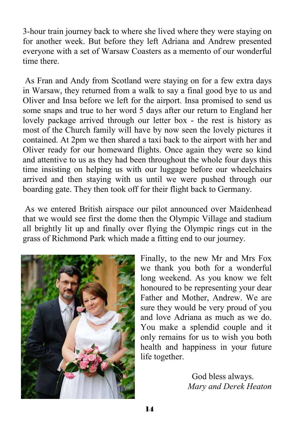3-hour train journey back to where she lived where they were staying on for another week. But before they left Adriana and Andrew presented everyone with a set of Warsaw Coasters as a memento of our wonderful time there.

 As Fran and Andy from Scotland were staying on for a few extra days in Warsaw, they returned from a walk to say a final good bye to us and Oliver and Insa before we left for the airport. Insa promised to send us some snaps and true to her word 5 days after our return to England her lovely package arrived through our letter box - the rest is history as most of the Church family will have by now seen the lovely pictures it contained. At 2pm we then shared a taxi back to the airport with her and Oliver ready for our homeward flights. Once again they were so kind and attentive to us as they had been throughout the whole four days this time insisting on helping us with our luggage before our wheelchairs arrived and then staying with us until we were pushed through our boarding gate. They then took off for their flight back to Germany.

 As we entered British airspace our pilot announced over Maidenhead that we would see first the dome then the Olympic Village and stadium all brightly lit up and finally over flying the Olympic rings cut in the grass of Richmond Park which made a fitting end to our journey.



Finally, to the new Mr and Mrs Fox we thank you both for a wonderful long weekend. As you know we felt honoured to be representing your dear Father and Mother, Andrew. We are sure they would be very proud of you and love Adriana as much as we do. You make a splendid couple and it only remains for us to wish you both health and happiness in your future life together.

> God bless always. *Mary and Derek Heaton*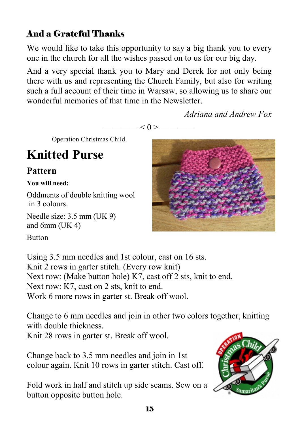## And a Grateful Thanks

We would like to take this opportunity to say a big thank you to every one in the church for all the wishes passed on to us for our big day.

And a very special thank you to Mary and Derek for not only being there with us and representing the Church Family, but also for writing such a full account of their time in Warsaw, so allowing us to share our wonderful memories of that time in the Newsletter.

 $\leq 0$  > —

*Adriana and Andrew Fox* 

Operation Christmas Child

# **Knitted Purse**

## **Pattern**

### **You will need:**

Oddments of double knitting wool in 3 colours.

Needle size: 3.5 mm (UK 9) and 6mm (UK 4)

**Button** 

Using 3.5 mm needles and 1st colour, cast on 16 sts. Knit 2 rows in garter stitch. (Every row knit) Next row: (Make button hole) K7, cast off 2 sts, knit to end. Next row: K7, cast on 2 sts, knit to end. Work 6 more rows in garter st. Break off wool.

Change to 6 mm needles and join in other two colors together, knitting with double thickness.

Knit 28 rows in garter st. Break off wool.

Change back to 3.5 mm needles and join in 1st colour again. Knit 10 rows in garter stitch. Cast off.

Fold work in half and stitch up side seams. Sew on a button opposite button hole.



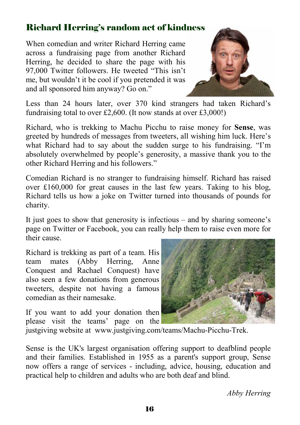## Richard Herring's random act of kindness

When comedian and writer Richard Herring came across a fundraising page from another Richard Herring, he decided to share the page with his 97,000 Twitter followers. He tweeted "This isn't me, but wouldn't it be cool if you pretended it was and all sponsored him anyway? Go on."



Less than 24 hours later, over 370 kind strangers had taken Richard's fundraising total to over £2,600. (It now stands at over £3,000!)

Richard, who is trekking to Machu Picchu to raise money for **Sense**, was greeted by hundreds of messages from tweeters, all wishing him luck. Here's what Richard had to say about the sudden surge to his fundraising. "I'm absolutely overwhelmed by people's generosity, a massive thank you to the other Richard Herring and his followers."

Comedian Richard is no stranger to fundraising himself. Richard has raised over £160,000 for great causes in the last few years. Taking to his blog, Richard tells us how a joke on Twitter turned into thousands of pounds for charity.

It just goes to show that generosity is infectious – and by sharing someone's page on Twitter or Facebook, you can really help them to raise even more for their cause.

Richard is trekking as part of a team. His team mates (Abby Herring, Anne Conquest and Rachael Conquest) have also seen a few donations from generous tweeters, despite not having a famous comedian as their namesake.

If you want to add your donation then please visit the teams' page on the



justgiving website at www.justgiving.com/teams/Machu-Picchu-Trek.

Sense is the UK's largest organisation offering support to deafblind people and their families. Established in 1955 as a parent's support group, Sense now offers a range of services - including, advice, housing, education and practical help to children and adults who are both deaf and blind.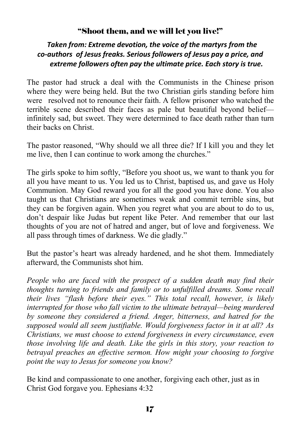## "Shoot them, and we will let you live!"

### *Taken from: Extreme devotion, the voice of the martyrs from the co‐authors of Jesus freaks. Serious followers of Jesus pay a price, and extreme followers often pay the ultimate price. Each story is true.*

The pastor had struck a deal with the Communists in the Chinese prison where they were being held. But the two Christian girls standing before him were resolved not to renounce their faith. A fellow prisoner who watched the terrible scene described their faces as pale but beautiful beyond belief infinitely sad, but sweet. They were determined to face death rather than turn their backs on Christ.

The pastor reasoned, "Why should we all three die? If I kill you and they let me live, then I can continue to work among the churches."

The girls spoke to him softly, "Before you shoot us, we want to thank you for all you have meant to us. You led us to Christ, baptised us, and gave us Holy Communion. May God reward you for all the good you have done. You also taught us that Christians are sometimes weak and commit terrible sins, but they can be forgiven again. When you regret what you are about to do to us, don't despair like Judas but repent like Peter. And remember that our last thoughts of you are not of hatred and anger, but of love and forgiveness. We all pass through times of darkness. We die gladly."

But the pastor's heart was already hardened, and he shot them. Immediately afterward, the Communists shot him.

*People who are faced with the prospect of a sudden death may find their thoughts turning to friends and family or to unfulfilled dreams. Some recall their lives "flash before their eyes." This total recall, however, is likely interrupted for those who fall victim to the ultimate betrayal—being murdered by someone they considered a friend. Anger, bitterness, and hatred for the supposed would all seem justifiable. Would forgiveness factor in it at all? As Christians, we must choose to extend forgiveness in every circumstance, even those involving life and death. Like the girls in this story, your reaction to betrayal preaches an effective sermon. How might your choosing to forgive point the way to Jesus for someone you know?* 

Be kind and compassionate to one another, forgiving each other, just as in Christ God forgave you. Ephesians 4:32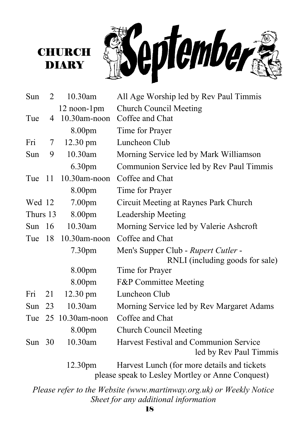



| Sun      | 2  | 10.30am             | All Age Worship led by Rev Paul Timmis                                                          |
|----------|----|---------------------|-------------------------------------------------------------------------------------------------|
|          |    | 12 noon-1pm         | <b>Church Council Meeting</b>                                                                   |
| Tue      | 4  | 10.30am-noon        | Coffee and Chat                                                                                 |
|          |    | 8.00pm              | Time for Prayer                                                                                 |
| Fri      | 7  | 12.30 pm            | Luncheon Club                                                                                   |
| Sun      | 9  | 10.30am             | Morning Service led by Mark Williamson                                                          |
|          |    | 6.30pm              | Communion Service led by Rev Paul Timmis                                                        |
| Tue 11   |    | 10.30am-noon        | Coffee and Chat                                                                                 |
|          |    | 8.00pm              | Time for Prayer                                                                                 |
| Wed 12   |    | 7.00 <sub>pm</sub>  | Circuit Meeting at Raynes Park Church                                                           |
| Thurs 13 |    | 8.00pm              | Leadership Meeting                                                                              |
| Sun $16$ |    | 10.30am             | Morning Service led by Valerie Ashcroft                                                         |
| Tue      | 18 | 10.30am-noon        | Coffee and Chat                                                                                 |
|          |    | 7.30pm              | Men's Supper Club - Rupert Cutler -                                                             |
|          |    |                     | RNLI (including goods for sale)                                                                 |
|          |    | 8.00pm              | Time for Prayer                                                                                 |
|          |    | 8.00pm              | F&P Committee Meeting                                                                           |
| Fri      | 21 | $12.30 \text{ pm}$  | Luncheon Club                                                                                   |
| Sun      | 23 | 10.30am             | Morning Service led by Rev Margaret Adams                                                       |
|          |    | Tue 25 10.30am-noon | Coffee and Chat                                                                                 |
|          |    | 8.00pm              | <b>Church Council Meeting</b>                                                                   |
| Sun $30$ |    | 10.30am             | Harvest Festival and Communion Service<br>led by Rev Paul Timmis                                |
|          |    | 12.30 <sub>pm</sub> | Harvest Lunch (for more details and tickets<br>please speak to Lesley Mortley or Anne Conquest) |

*Please refer to the Website (www.martinway.org.uk) or Weekly Notice Sheet for any additional information*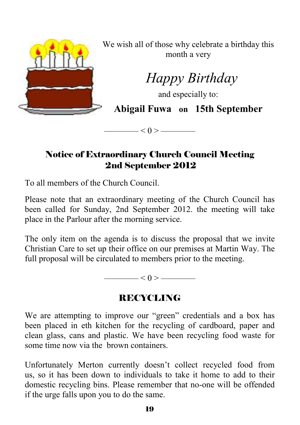

We wish all of those why celebrate a birthday this month a very

 *Happy Birthday* 

and especially to:

**Abigail Fuwa on 15th September** 

Notice of Extraordinary Church Council Meeting 2nd September 2012

 $< 0 >$  —————

To all members of the Church Council.

Please note that an extraordinary meeting of the Church Council has been called for Sunday, 2nd September 2012. the meeting will take place in the Parlour after the morning service.

The only item on the agenda is to discuss the proposal that we invite Christian Care to set up their office on our premises at Martin Way. The full proposal will be circulated to members prior to the meeting.

 $< 0 >$  ———————

## RECYCLING

We are attempting to improve our "green" credentials and a box has been placed in eth kitchen for the recycling of cardboard, paper and clean glass, cans and plastic. We have been recycling food waste for some time now via the brown containers.

Unfortunately Merton currently doesn't collect recycled food from us, so it has been down to individuals to take it home to add to their domestic recycling bins. Please remember that no-one will be offended if the urge falls upon you to do the same.